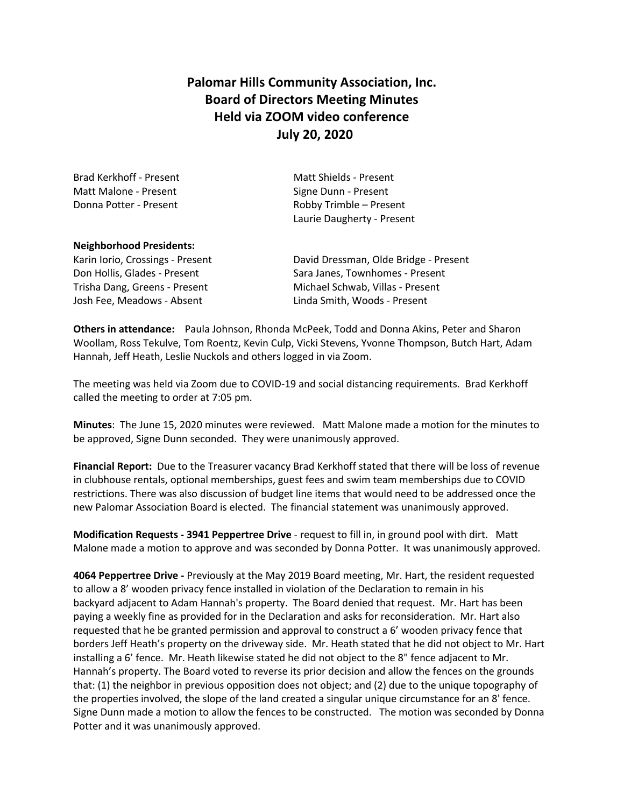# **Palomar Hills Community Association, Inc. Board of Directors Meeting Minutes Held via ZOOM video conference July 20, 2020**

| Matt Shields - Present     |
|----------------------------|
| Signe Dunn - Present       |
| Robby Trimble – Present    |
| Laurie Daugherty - Present |
|                            |

#### **Neighborhood Presidents:**

Josh Fee, Meadows - Absent Linda Smith, Woods - Present

Karin Iorio, Crossings - Present **David Dressman, Olde Bridge - Present** Don Hollis, Glades - Present Sara Janes, Townhomes - Present Trisha Dang, Greens - Present Michael Schwab, Villas - Present

**Others in attendance:** Paula Johnson, Rhonda McPeek, Todd and Donna Akins, Peter and Sharon Woollam, Ross Tekulve, Tom Roentz, Kevin Culp, Vicki Stevens, Yvonne Thompson, Butch Hart, Adam Hannah, Jeff Heath, Leslie Nuckols and others logged in via Zoom.

The meeting was held via Zoom due to COVID-19 and social distancing requirements. Brad Kerkhoff called the meeting to order at 7:05 pm.

**Minutes**: The June 15, 2020 minutes were reviewed. Matt Malone made a motion for the minutes to be approved, Signe Dunn seconded. They were unanimously approved.

**Financial Report:** Due to the Treasurer vacancy Brad Kerkhoff stated that there will be loss of revenue in clubhouse rentals, optional memberships, guest fees and swim team memberships due to COVID restrictions. There was also discussion of budget line items that would need to be addressed once the new Palomar Association Board is elected. The financial statement was unanimously approved.

**Modification Requests - 3941 Peppertree Drive** - request to fill in, in ground pool with dirt. Matt Malone made a motion to approve and was seconded by Donna Potter. It was unanimously approved.

**4064 Peppertree Drive -** Previously at the May 2019 Board meeting, Mr. Hart, the resident requested to allow a 8' wooden privacy fence installed in violation of the Declaration to remain in his backyard adjacent to Adam Hannah's property. The Board denied that request. Mr. Hart has been paying a weekly fine as provided for in the Declaration and asks for reconsideration. Mr. Hart also requested that he be granted permission and approval to construct a 6' wooden privacy fence that borders Jeff Heath's property on the driveway side. Mr. Heath stated that he did not object to Mr. Hart installing a 6' fence. Mr. Heath likewise stated he did not object to the 8" fence adjacent to Mr. Hannah's property. The Board voted to reverse its prior decision and allow the fences on the grounds that: (1) the neighbor in previous opposition does not object; and (2) due to the unique topography of the properties involved, the slope of the land created a singular unique circumstance for an 8' fence. Signe Dunn made a motion to allow the fences to be constructed. The motion was seconded by Donna Potter and it was unanimously approved.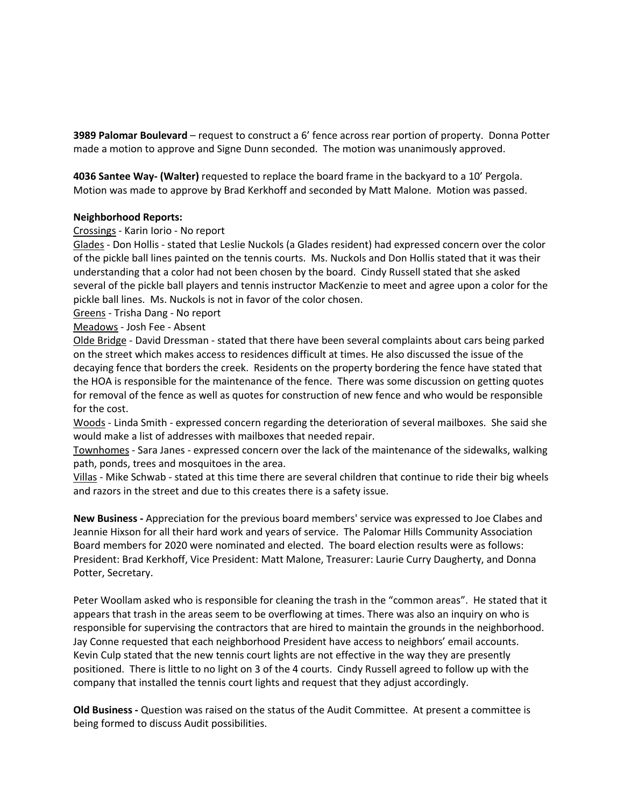**3989 Palomar Boulevard** – request to construct a 6' fence across rear portion of property. Donna Potter made a motion to approve and Signe Dunn seconded. The motion was unanimously approved.

**4036 Santee Way- (Walter)** requested to replace the board frame in the backyard to a 10' Pergola. Motion was made to approve by Brad Kerkhoff and seconded by Matt Malone. Motion was passed.

#### **Neighborhood Reports:**

#### Crossings - Karin Iorio - No report

Glades - Don Hollis - stated that Leslie Nuckols (a Glades resident) had expressed concern over the color of the pickle ball lines painted on the tennis courts. Ms. Nuckols and Don Hollis stated that it was their understanding that a color had not been chosen by the board. Cindy Russell stated that she asked several of the pickle ball players and tennis instructor MacKenzie to meet and agree upon a color for the pickle ball lines. Ms. Nuckols is not in favor of the color chosen.

Greens - Trisha Dang - No report

Meadows - Josh Fee - Absent

Olde Bridge - David Dressman - stated that there have been several complaints about cars being parked on the street which makes access to residences difficult at times. He also discussed the issue of the decaying fence that borders the creek. Residents on the property bordering the fence have stated that the HOA is responsible for the maintenance of the fence. There was some discussion on getting quotes for removal of the fence as well as quotes for construction of new fence and who would be responsible for the cost.

Woods - Linda Smith - expressed concern regarding the deterioration of several mailboxes. She said she would make a list of addresses with mailboxes that needed repair.

Townhomes - Sara Janes - expressed concern over the lack of the maintenance of the sidewalks, walking path, ponds, trees and mosquitoes in the area.

Villas - Mike Schwab - stated at this time there are several children that continue to ride their big wheels and razors in the street and due to this creates there is a safety issue.

**New Business -** Appreciation for the previous board members' service was expressed to Joe Clabes and Jeannie Hixson for all their hard work and years of service.The Palomar Hills Community Association Board members for 2020 were nominated and elected. The board election results were as follows: President: Brad Kerkhoff, Vice President: Matt Malone, Treasurer: Laurie Curry Daugherty, and Donna Potter, Secretary.

Peter Woollam asked who is responsible for cleaning the trash in the "common areas". He stated that it appears that trash in the areas seem to be overflowing at times. There was also an inquiry on who is responsible for supervising the contractors that are hired to maintain the grounds in the neighborhood. Jay Conne requested that each neighborhood President have access to neighbors' email accounts. Kevin Culp stated that the new tennis court lights are not effective in the way they are presently positioned. There is little to no light on 3 of the 4 courts. Cindy Russell agreed to follow up with the company that installed the tennis court lights and request that they adjust accordingly.

**Old Business -** Question was raised on the status of the Audit Committee. At present a committee is being formed to discuss Audit possibilities.